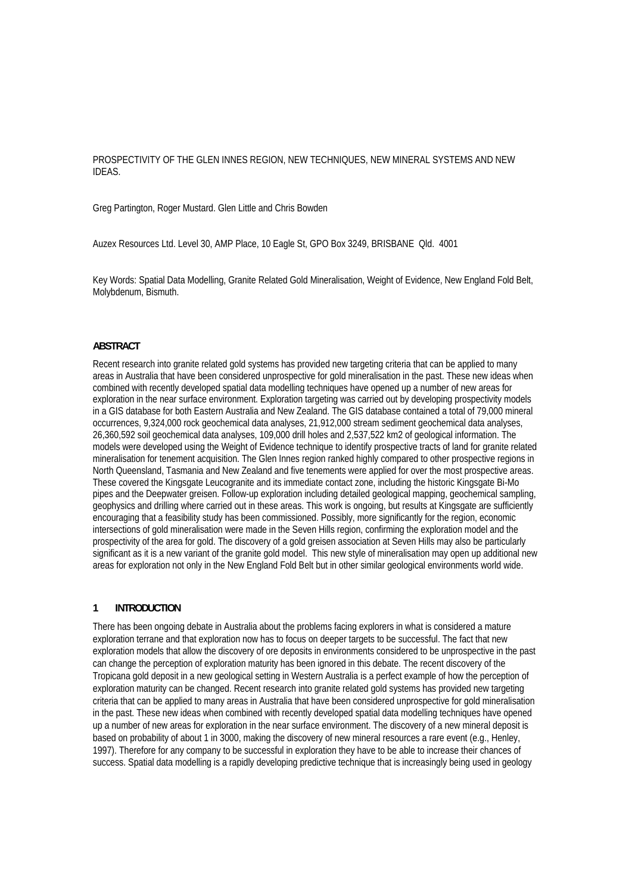# PROSPECTIVITY OF THE GLEN INNES REGION, NEW TECHNIQUES, NEW MINERAL SYSTEMS AND NEW IDEAS.

Greg Partington, Roger Mustard. Glen Little and Chris Bowden

Auzex Resources Ltd. Level 30, AMP Place, 10 Eagle St, GPO Box 3249, BRISBANE Qld. 4001

Key Words: Spatial Data Modelling, Granite Related Gold Mineralisation, Weight of Evidence, New England Fold Belt, Molybdenum, Bismuth.

#### **ABSTRACT**

Recent research into granite related gold systems has provided new targeting criteria that can be applied to many areas in Australia that have been considered unprospective for gold mineralisation in the past. These new ideas when combined with recently developed spatial data modelling techniques have opened up a number of new areas for exploration in the near surface environment. Exploration targeting was carried out by developing prospectivity models in a GIS database for both Eastern Australia and New Zealand. The GIS database contained a total of 79,000 mineral occurrences, 9,324,000 rock geochemical data analyses, 21,912,000 stream sediment geochemical data analyses, 26,360,592 soil geochemical data analyses, 109,000 drill holes and 2,537,522 km2 of geological information. The models were developed using the Weight of Evidence technique to identify prospective tracts of land for granite related mineralisation for tenement acquisition. The Glen Innes region ranked highly compared to other prospective regions in North Queensland, Tasmania and New Zealand and five tenements were applied for over the most prospective areas. These covered the Kingsgate Leucogranite and its immediate contact zone, including the historic Kingsgate Bi-Mo pipes and the Deepwater greisen. Follow-up exploration including detailed geological mapping, geochemical sampling, geophysics and drilling where carried out in these areas. This work is ongoing, but results at Kingsgate are sufficiently encouraging that a feasibility study has been commissioned. Possibly, more significantly for the region, economic intersections of gold mineralisation were made in the Seven Hills region, confirming the exploration model and the prospectivity of the area for gold. The discovery of a gold greisen association at Seven Hills may also be particularly significant as it is a new variant of the granite gold model. This new style of mineralisation may open up additional new areas for exploration not only in the New England Fold Belt but in other similar geological environments world wide.

#### **1 INTRODUCTION**

There has been ongoing debate in Australia about the problems facing explorers in what is considered a mature exploration terrane and that exploration now has to focus on deeper targets to be successful. The fact that new exploration models that allow the discovery of ore deposits in environments considered to be unprospective in the past can change the perception of exploration maturity has been ignored in this debate. The recent discovery of the Tropicana gold deposit in a new geological setting in Western Australia is a perfect example of how the perception of exploration maturity can be changed. Recent research into granite related gold systems has provided new targeting criteria that can be applied to many areas in Australia that have been considered unprospective for gold mineralisation in the past. These new ideas when combined with recently developed spatial data modelling techniques have opened up a number of new areas for exploration in the near surface environment. The discovery of a new mineral deposit is based on probability of about 1 in 3000, making the discovery of new mineral resources a rare event (e.g., Henley, 1997). Therefore for any company to be successful in exploration they have to be able to increase their chances of success. Spatial data modelling is a rapidly developing predictive technique that is increasingly being used in geology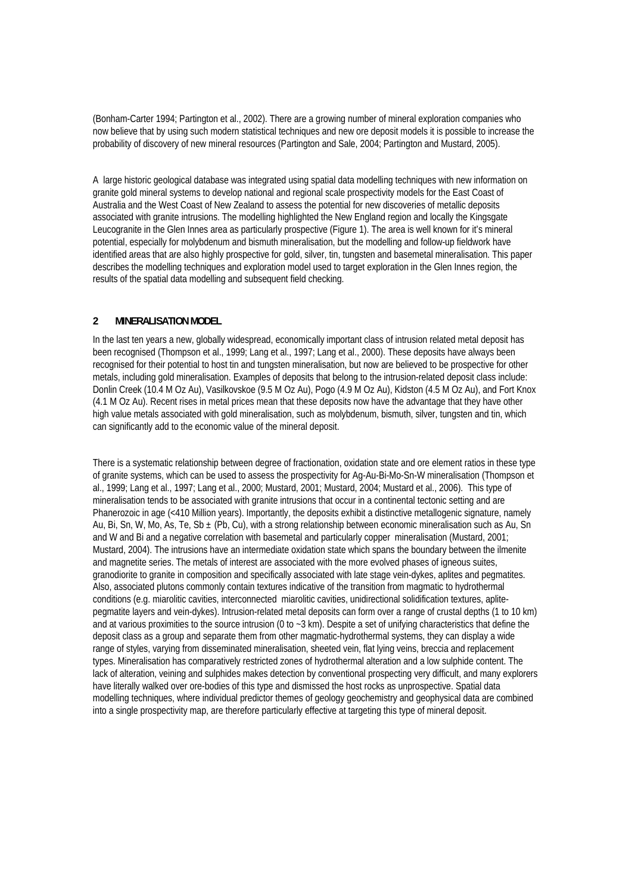(Bonham-Carter 1994; Partington et al., 2002). There are a growing number of mineral exploration companies who now believe that by using such modern statistical techniques and new ore deposit models it is possible to increase the probability of discovery of new mineral resources (Partington and Sale, 2004; Partington and Mustard, 2005).

A large historic geological database was integrated using spatial data modelling techniques with new information on granite gold mineral systems to develop national and regional scale prospectivity models for the East Coast of Australia and the West Coast of New Zealand to assess the potential for new discoveries of metallic deposits associated with granite intrusions. The modelling highlighted the New England region and locally the Kingsgate Leucogranite in the Glen Innes area as particularly prospective (Figure 1). The area is well known for it's mineral potential, especially for molybdenum and bismuth mineralisation, but the modelling and follow-up fieldwork have identified areas that are also highly prospective for gold, silver, tin, tungsten and basemetal mineralisation. This paper describes the modelling techniques and exploration model used to target exploration in the Glen Innes region, the results of the spatial data modelling and subsequent field checking.

# **2 MINERALISATION MODEL**

In the last ten years a new, globally widespread, economically important class of intrusion related metal deposit has been recognised (Thompson et al., 1999; Lang et al., 1997; Lang et al., 2000). These deposits have always been recognised for their potential to host tin and tungsten mineralisation, but now are believed to be prospective for other metals, including gold mineralisation. Examples of deposits that belong to the intrusion-related deposit class include: Donlin Creek (10.4 M Oz Au), Vasilkovskoe (9.5 M Oz Au), Pogo (4.9 M Oz Au), Kidston (4.5 M Oz Au), and Fort Knox (4.1 M Oz Au). Recent rises in metal prices mean that these deposits now have the advantage that they have other high value metals associated with gold mineralisation, such as molybdenum, bismuth, silver, tungsten and tin, which can significantly add to the economic value of the mineral deposit.

There is a systematic relationship between degree of fractionation, oxidation state and ore element ratios in these type of granite systems, which can be used to assess the prospectivity for Ag-Au-Bi-Mo-Sn-W mineralisation (Thompson et al., 1999; Lang et al., 1997; Lang et al., 2000; Mustard, 2001; Mustard, 2004; Mustard et al., 2006). This type of mineralisation tends to be associated with granite intrusions that occur in a continental tectonic setting and are Phanerozoic in age (<410 Million years). Importantly, the deposits exhibit a distinctive metallogenic signature, namely Au, Bi, Sn, W, Mo, As, Te, Sb  $\pm$  (Pb, Cu), with a strong relationship between economic mineralisation such as Au, Sn and W and Bi and a negative correlation with basemetal and particularly copper mineralisation (Mustard, 2001; Mustard, 2004). The intrusions have an intermediate oxidation state which spans the boundary between the ilmenite and magnetite series. The metals of interest are associated with the more evolved phases of igneous suites, granodiorite to granite in composition and specifically associated with late stage vein-dykes, aplites and pegmatites. Also, associated plutons commonly contain textures indicative of the transition from magmatic to hydrothermal conditions (e.g. miarolitic cavities, interconnected miarolitic cavities, unidirectional solidification textures, aplitepegmatite layers and vein-dykes). Intrusion-related metal deposits can form over a range of crustal depths (1 to 10 km) and at various proximities to the source intrusion (0 to ~3 km). Despite a set of unifying characteristics that define the deposit class as a group and separate them from other magmatic-hydrothermal systems, they can display a wide range of styles, varying from disseminated mineralisation, sheeted vein, flat lying veins, breccia and replacement types. Mineralisation has comparatively restricted zones of hydrothermal alteration and a low sulphide content. The lack of alteration, veining and sulphides makes detection by conventional prospecting very difficult, and many explorers have literally walked over ore-bodies of this type and dismissed the host rocks as unprospective. Spatial data modelling techniques, where individual predictor themes of geology geochemistry and geophysical data are combined into a single prospectivity map, are therefore particularly effective at targeting this type of mineral deposit.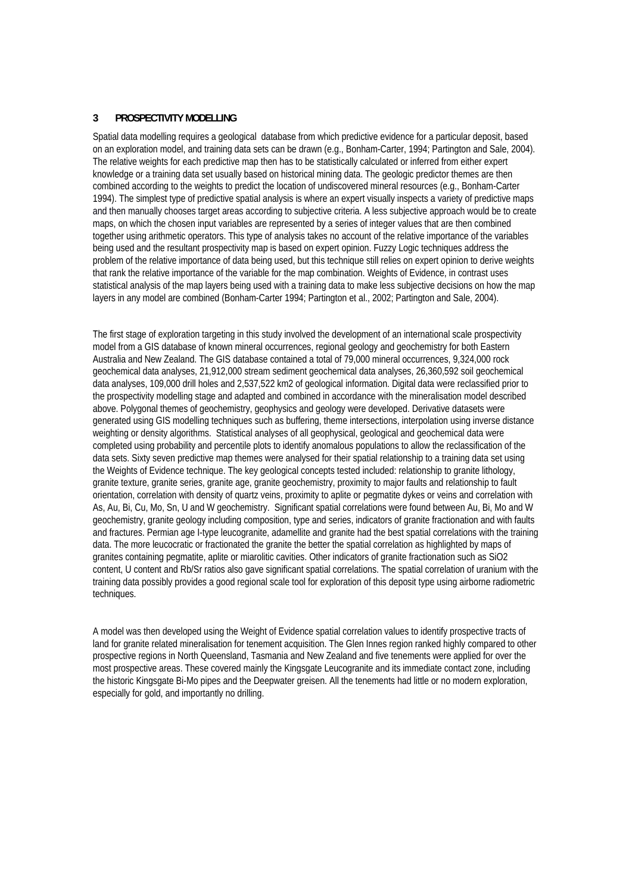#### **3 PROSPECTIVITY MODELLING**

Spatial data modelling requires a geological database from which predictive evidence for a particular deposit, based on an exploration model, and training data sets can be drawn (e.g., Bonham-Carter, 1994; Partington and Sale, 2004). The relative weights for each predictive map then has to be statistically calculated or inferred from either expert knowledge or a training data set usually based on historical mining data. The geologic predictor themes are then combined according to the weights to predict the location of undiscovered mineral resources (e.g., Bonham-Carter 1994). The simplest type of predictive spatial analysis is where an expert visually inspects a variety of predictive maps and then manually chooses target areas according to subjective criteria. A less subjective approach would be to create maps, on which the chosen input variables are represented by a series of integer values that are then combined together using arithmetic operators. This type of analysis takes no account of the relative importance of the variables being used and the resultant prospectivity map is based on expert opinion. Fuzzy Logic techniques address the problem of the relative importance of data being used, but this technique still relies on expert opinion to derive weights that rank the relative importance of the variable for the map combination. Weights of Evidence, in contrast uses statistical analysis of the map layers being used with a training data to make less subjective decisions on how the map layers in any model are combined (Bonham-Carter 1994; Partington et al., 2002; Partington and Sale, 2004).

The first stage of exploration targeting in this study involved the development of an international scale prospectivity model from a GIS database of known mineral occurrences, regional geology and geochemistry for both Eastern Australia and New Zealand. The GIS database contained a total of 79,000 mineral occurrences, 9,324,000 rock geochemical data analyses, 21,912,000 stream sediment geochemical data analyses, 26,360,592 soil geochemical data analyses, 109,000 drill holes and 2,537,522 km2 of geological information. Digital data were reclassified prior to the prospectivity modelling stage and adapted and combined in accordance with the mineralisation model described above. Polygonal themes of geochemistry, geophysics and geology were developed. Derivative datasets were generated using GIS modelling techniques such as buffering, theme intersections, interpolation using inverse distance weighting or density algorithms. Statistical analyses of all geophysical, geological and geochemical data were completed using probability and percentile plots to identify anomalous populations to allow the reclassification of the data sets. Sixty seven predictive map themes were analysed for their spatial relationship to a training data set using the Weights of Evidence technique. The key geological concepts tested included: relationship to granite lithology, granite texture, granite series, granite age, granite geochemistry, proximity to major faults and relationship to fault orientation, correlation with density of quartz veins, proximity to aplite or pegmatite dykes or veins and correlation with As, Au, Bi, Cu, Mo, Sn, U and W geochemistry. Significant spatial correlations were found between Au, Bi, Mo and W geochemistry, granite geology including composition, type and series, indicators of granite fractionation and with faults and fractures. Permian age I-type leucogranite, adamellite and granite had the best spatial correlations with the training data. The more leucocratic or fractionated the granite the better the spatial correlation as highlighted by maps of granites containing pegmatite, aplite or miarolitic cavities. Other indicators of granite fractionation such as SiO2 content, U content and Rb/Sr ratios also gave significant spatial correlations. The spatial correlation of uranium with the training data possibly provides a good regional scale tool for exploration of this deposit type using airborne radiometric techniques.

A model was then developed using the Weight of Evidence spatial correlation values to identify prospective tracts of land for granite related mineralisation for tenement acquisition. The Glen Innes region ranked highly compared to other prospective regions in North Queensland, Tasmania and New Zealand and five tenements were applied for over the most prospective areas. These covered mainly the Kingsgate Leucogranite and its immediate contact zone, including the historic Kingsgate Bi-Mo pipes and the Deepwater greisen. All the tenements had little or no modern exploration, especially for gold, and importantly no drilling.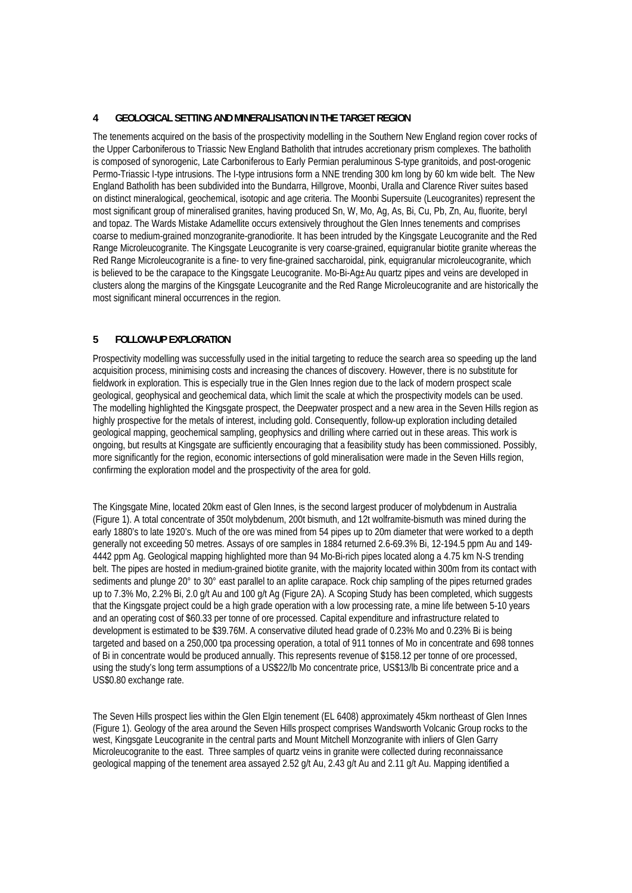# **4 GEOLOGICAL SETTING AND MINERALISATION IN THE TARGET REGION**

The tenements acquired on the basis of the prospectivity modelling in the Southern New England region cover rocks of the Upper Carboniferous to Triassic New England Batholith that intrudes accretionary prism complexes. The batholith is composed of synorogenic, Late Carboniferous to Early Permian peraluminous S-type granitoids, and post-orogenic Permo-Triassic I-type intrusions. The I-type intrusions form a NNE trending 300 km long by 60 km wide belt. The New England Batholith has been subdivided into the Bundarra, Hillgrove, Moonbi, Uralla and Clarence River suites based on distinct mineralogical, geochemical, isotopic and age criteria. The Moonbi Supersuite (Leucogranites) represent the most significant group of mineralised granites, having produced Sn, W, Mo, Ag, As, Bi, Cu, Pb, Zn, Au, fluorite, beryl and topaz. The Wards Mistake Adamellite occurs extensively throughout the Glen Innes tenements and comprises coarse to medium-grained monzogranite-granodiorite. It has been intruded by the Kingsgate Leucogranite and the Red Range Microleucogranite. The Kingsgate Leucogranite is very coarse-grained, equigranular biotite granite whereas the Red Range Microleucogranite is a fine- to very fine-grained saccharoidal, pink, equigranular microleucogranite, which is believed to be the carapace to the Kingsgate Leucogranite. Mo-Bi-Ag±Au quartz pipes and veins are developed in clusters along the margins of the Kingsgate Leucogranite and the Red Range Microleucogranite and are historically the most significant mineral occurrences in the region.

# **5 FOLLOW-UP EXPLORATION**

Prospectivity modelling was successfully used in the initial targeting to reduce the search area so speeding up the land acquisition process, minimising costs and increasing the chances of discovery. However, there is no substitute for fieldwork in exploration. This is especially true in the Glen Innes region due to the lack of modern prospect scale geological, geophysical and geochemical data, which limit the scale at which the prospectivity models can be used. The modelling highlighted the Kingsgate prospect, the Deepwater prospect and a new area in the Seven Hills region as highly prospective for the metals of interest, including gold. Consequently, follow-up exploration including detailed geological mapping, geochemical sampling, geophysics and drilling where carried out in these areas. This work is ongoing, but results at Kingsgate are sufficiently encouraging that a feasibility study has been commissioned. Possibly, more significantly for the region, economic intersections of gold mineralisation were made in the Seven Hills region, confirming the exploration model and the prospectivity of the area for gold.

The Kingsgate Mine, located 20km east of Glen Innes, is the second largest producer of molybdenum in Australia (Figure 1). A total concentrate of 350t molybdenum, 200t bismuth, and 12t wolframite-bismuth was mined during the early 1880's to late 1920's. Much of the ore was mined from 54 pipes up to 20m diameter that were worked to a depth generally not exceeding 50 metres. Assays of ore samples in 1884 returned 2.6-69.3% Bi, 12-194.5 ppm Au and 149- 4442 ppm Ag. Geological mapping highlighted more than 94 Mo-Bi-rich pipes located along a 4.75 km N-S trending belt. The pipes are hosted in medium-grained biotite granite, with the majority located within 300m from its contact with sediments and plunge 20° to 30° east parallel to an aplite carapace. Rock chip sampling of the pipes returned grades up to 7.3% Mo, 2.2% Bi, 2.0 g/t Au and 100 g/t Ag (Figure 2A). A Scoping Study has been completed, which suggests that the Kingsgate project could be a high grade operation with a low processing rate, a mine life between 5-10 years and an operating cost of \$60.33 per tonne of ore processed. Capital expenditure and infrastructure related to development is estimated to be \$39.76M. A conservative diluted head grade of 0.23% Mo and 0.23% Bi is being targeted and based on a 250,000 tpa processing operation, a total of 911 tonnes of Mo in concentrate and 698 tonnes of Bi in concentrate would be produced annually. This represents revenue of \$158.12 per tonne of ore processed, using the study's long term assumptions of a US\$22/lb Mo concentrate price, US\$13/lb Bi concentrate price and a US\$0.80 exchange rate.

The Seven Hills prospect lies within the Glen Elgin tenement (EL 6408) approximately 45km northeast of Glen Innes (Figure 1). Geology of the area around the Seven Hills prospect comprises Wandsworth Volcanic Group rocks to the west, Kingsgate Leucogranite in the central parts and Mount Mitchell Monzogranite with inliers of Glen Garry Microleucogranite to the east. Three samples of quartz veins in granite were collected during reconnaissance geological mapping of the tenement area assayed 2.52 g/t Au, 2.43 g/t Au and 2.11 g/t Au. Mapping identified a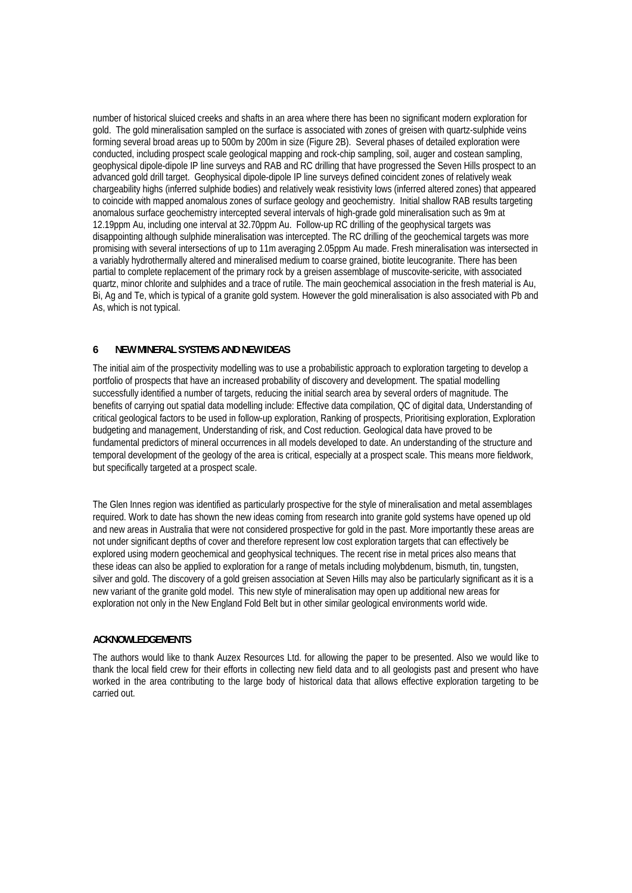number of historical sluiced creeks and shafts in an area where there has been no significant modern exploration for gold. The gold mineralisation sampled on the surface is associated with zones of greisen with quartz-sulphide veins forming several broad areas up to 500m by 200m in size (Figure 2B). Several phases of detailed exploration were conducted, including prospect scale geological mapping and rock-chip sampling, soil, auger and costean sampling, geophysical dipole-dipole IP line surveys and RAB and RC drilling that have progressed the Seven Hills prospect to an advanced gold drill target. Geophysical dipole-dipole IP line surveys defined coincident zones of relatively weak chargeability highs (inferred sulphide bodies) and relatively weak resistivity lows (inferred altered zones) that appeared to coincide with mapped anomalous zones of surface geology and geochemistry. Initial shallow RAB results targeting anomalous surface geochemistry intercepted several intervals of high-grade gold mineralisation such as 9m at 12.19ppm Au, including one interval at 32.70ppm Au. Follow-up RC drilling of the geophysical targets was disappointing although sulphide mineralisation was intercepted. The RC drilling of the geochemical targets was more promising with several intersections of up to 11m averaging 2.05ppm Au made. Fresh mineralisation was intersected in a variably hydrothermally altered and mineralised medium to coarse grained, biotite leucogranite. There has been partial to complete replacement of the primary rock by a greisen assemblage of muscovite-sericite, with associated quartz, minor chlorite and sulphides and a trace of rutile. The main geochemical association in the fresh material is Au, Bi, Ag and Te, which is typical of a granite gold system. However the gold mineralisation is also associated with Pb and As, which is not typical.

# **6 NEW MINERAL SYSTEMS AND NEW IDEAS**

The initial aim of the prospectivity modelling was to use a probabilistic approach to exploration targeting to develop a portfolio of prospects that have an increased probability of discovery and development. The spatial modelling successfully identified a number of targets, reducing the initial search area by several orders of magnitude. The benefits of carrying out spatial data modelling include: Effective data compilation, QC of digital data, Understanding of critical geological factors to be used in follow-up exploration, Ranking of prospects, Prioritising exploration, Exploration budgeting and management, Understanding of risk, and Cost reduction. Geological data have proved to be fundamental predictors of mineral occurrences in all models developed to date. An understanding of the structure and temporal development of the geology of the area is critical, especially at a prospect scale. This means more fieldwork, but specifically targeted at a prospect scale.

The Glen Innes region was identified as particularly prospective for the style of mineralisation and metal assemblages required. Work to date has shown the new ideas coming from research into granite gold systems have opened up old and new areas in Australia that were not considered prospective for gold in the past. More importantly these areas are not under significant depths of cover and therefore represent low cost exploration targets that can effectively be explored using modern geochemical and geophysical techniques. The recent rise in metal prices also means that these ideas can also be applied to exploration for a range of metals including molybdenum, bismuth, tin, tungsten, silver and gold. The discovery of a gold greisen association at Seven Hills may also be particularly significant as it is a new variant of the granite gold model. This new style of mineralisation may open up additional new areas for exploration not only in the New England Fold Belt but in other similar geological environments world wide.

#### **ACKNOWLEDGEMENTS**

The authors would like to thank Auzex Resources Ltd. for allowing the paper to be presented. Also we would like to thank the local field crew for their efforts in collecting new field data and to all geologists past and present who have worked in the area contributing to the large body of historical data that allows effective exploration targeting to be carried out.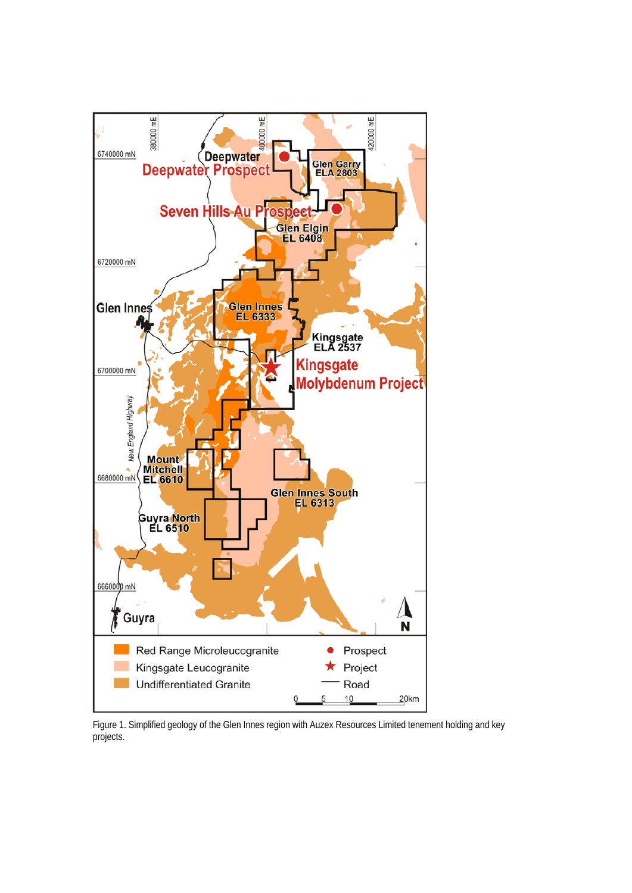

Figure 1. Simplified geology of the Glen Innes region with Auzex Resources Limited tenement holding and key projects.